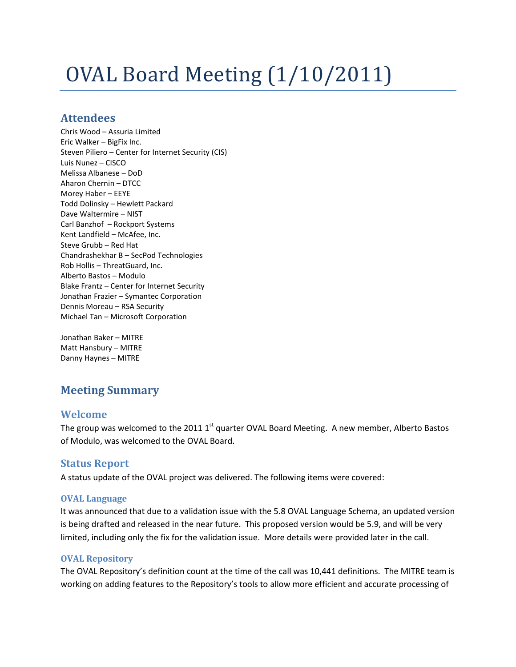# OVAL Board Meeting (1/10/2011)

# **Attendees**

Chris Wood – Assuria Limited Eric Walker – BigFix Inc. Steven Piliero – Center for Internet Security (CIS) Luis Nunez – CISCO Melissa Albanese – DoD Aharon Chernin – DTCC Morey Haber – EEYE Todd Dolinsky – Hewlett Packard Dave Waltermire – NIST Carl Banzhof – Rockport Systems Kent Landfield – McAfee, Inc. Steve Grubb – Red Hat Chandrashekhar B – SecPod Technologies Rob Hollis – ThreatGuard, Inc. Alberto Bastos – Modulo Blake Frantz – Center for Internet Security Jonathan Frazier – Symantec Corporation Dennis Moreau – RSA Security Michael Tan – Microsoft Corporation

Jonathan Baker – MITRE Matt Hansbury – MITRE Danny Haynes – MITRE

# **Meeting Summary**

# **Welcome**

The group was welcomed to the 2011 1<sup>st</sup> quarter OVAL Board Meeting. A new member, Alberto Bastos of Modulo, was welcomed to the OVAL Board.

# **Status Report**

A status update of the OVAL project was delivered. The following items were covered:

# **OVAL Language**

It was announced that due to a validation issue with the 5.8 OVAL Language Schema, an updated version is being drafted and released in the near future. This proposed version would be 5.9, and will be very limited, including only the fix for the validation issue. More details were provided later in the call.

# **OVAL Repository**

The OVAL Repository's definition count at the time of the call was 10,441 definitions. The MITRE team is working on adding features to the Repository's tools to allow more efficient and accurate processing of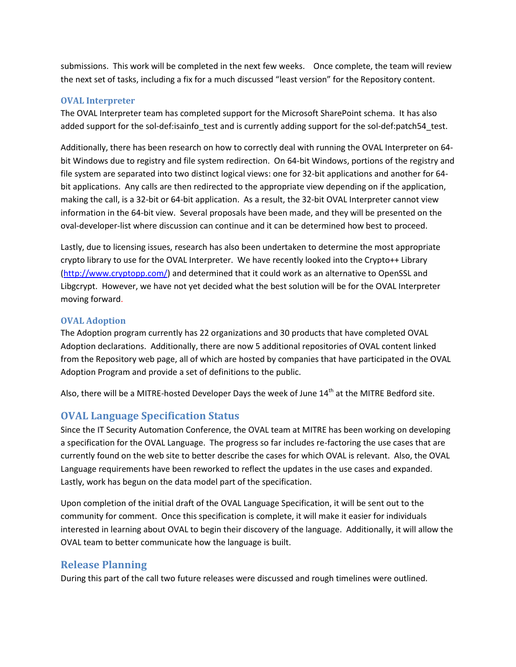submissions. This work will be completed in the next few weeks. Once complete, the team will review the next set of tasks, including a fix for a much discussed "least version" for the Repository content.

#### **OVAL Interpreter**

The OVAL Interpreter team has completed support for the Microsoft SharePoint schema. It has also added support for the sol-def:isainfo\_test and is currently adding support for the sol-def:patch54\_test.

Additionally, there has been research on how to correctly deal with running the OVAL Interpreter on 64 bit Windows due to registry and file system redirection. On 64-bit Windows, portions of the registry and file system are separated into two distinct logical views: one for 32-bit applications and another for 64 bit applications. Any calls are then redirected to the appropriate view depending on if the application, making the call, is a 32-bit or 64-bit application. As a result, the 32-bit OVAL Interpreter cannot view information in the 64-bit view. Several proposals have been made, and they will be presented on the oval-developer-list where discussion can continue and it can be determined how best to proceed.

Lastly, due to licensing issues, research has also been undertaken to determine the most appropriate crypto library to use for the OVAL Interpreter. We have recently looked into the Crypto++ Library [\(http://www.cryptopp.com/\)](http://www.cryptopp.com/) and determined that it could work as an alternative to OpenSSL and Libgcrypt. However, we have not yet decided what the best solution will be for the OVAL Interpreter moving forward.

#### **OVAL Adoption**

The Adoption program currently has 22 organizations and 30 products that have completed OVAL Adoption declarations. Additionally, there are now 5 additional repositories of OVAL content linked from the Repository web page, all of which are hosted by companies that have participated in the OVAL Adoption Program and provide a set of definitions to the public.

Also, there will be a MITRE-hosted Developer Days the week of June  $14<sup>th</sup>$  at the MITRE Bedford site.

# **OVAL Language Specification Status**

Since the IT Security Automation Conference, the OVAL team at MITRE has been working on developing a specification for the OVAL Language. The progress so far includes re-factoring the use cases that are currently found on the web site to better describe the cases for which OVAL is relevant. Also, the OVAL Language requirements have been reworked to reflect the updates in the use cases and expanded. Lastly, work has begun on the data model part of the specification.

Upon completion of the initial draft of the OVAL Language Specification, it will be sent out to the community for comment. Once this specification is complete, it will make it easier for individuals interested in learning about OVAL to begin their discovery of the language. Additionally, it will allow the OVAL team to better communicate how the language is built.

# **Release Planning**

During this part of the call two future releases were discussed and rough timelines were outlined.